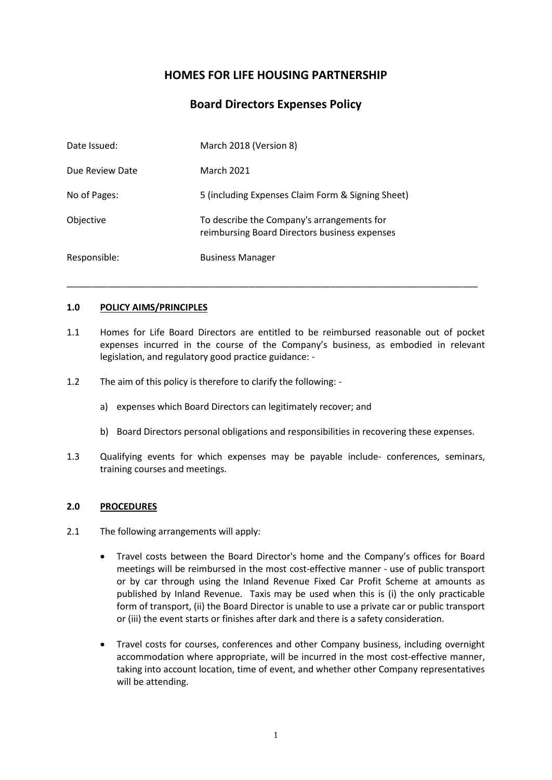## **HOMES FOR LIFE HOUSING PARTNERSHIP**

### **Board Directors Expenses Policy**

| Date Issued:    | March 2018 (Version 8)                                                                      |
|-----------------|---------------------------------------------------------------------------------------------|
| Due Review Date | March 2021                                                                                  |
| No of Pages:    | 5 (including Expenses Claim Form & Signing Sheet)                                           |
| Objective       | To describe the Company's arrangements for<br>reimbursing Board Directors business expenses |
| Responsible:    | <b>Business Manager</b>                                                                     |

#### **1.0 POLICY AIMS/PRINCIPLES**

1.1 Homes for Life Board Directors are entitled to be reimbursed reasonable out of pocket expenses incurred in the course of the Company's business, as embodied in relevant legislation, and regulatory good practice guidance: -

\_\_\_\_\_\_\_\_\_\_\_\_\_\_\_\_\_\_\_\_\_\_\_\_\_\_\_\_\_\_\_\_\_\_\_\_\_\_\_\_\_\_\_\_\_\_\_\_\_\_\_\_\_\_\_\_\_\_\_\_\_\_\_\_\_\_\_\_\_\_\_\_\_\_\_\_\_\_\_\_\_

- 1.2 The aim of this policy is therefore to clarify the following:
	- a) expenses which Board Directors can legitimately recover; and
	- b) Board Directors personal obligations and responsibilities in recovering these expenses.
- 1.3 Qualifying events for which expenses may be payable include- conferences, seminars, training courses and meetings.

#### **2.0 PROCEDURES**

- 2.1 The following arrangements will apply:
	- Travel costs between the Board Director's home and the Company's offices for Board meetings will be reimbursed in the most cost-effective manner - use of public transport or by car through using the Inland Revenue Fixed Car Profit Scheme at amounts as published by Inland Revenue. Taxis may be used when this is (i) the only practicable form of transport, (ii) the Board Director is unable to use a private car or public transport or (iii) the event starts or finishes after dark and there is a safety consideration.
	- Travel costs for courses, conferences and other Company business, including overnight accommodation where appropriate, will be incurred in the most cost-effective manner, taking into account location, time of event, and whether other Company representatives will be attending.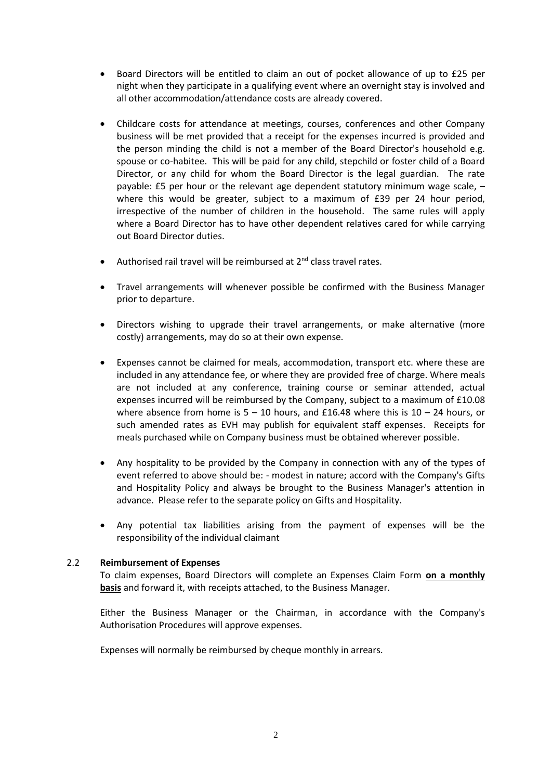- Board Directors will be entitled to claim an out of pocket allowance of up to £25 per night when they participate in a qualifying event where an overnight stay is involved and all other accommodation/attendance costs are already covered.
- Childcare costs for attendance at meetings, courses, conferences and other Company business will be met provided that a receipt for the expenses incurred is provided and the person minding the child is not a member of the Board Director's household e.g. spouse or co-habitee. This will be paid for any child, stepchild or foster child of a Board Director, or any child for whom the Board Director is the legal guardian. The rate payable: £5 per hour or the relevant age dependent statutory minimum wage scale, – where this would be greater, subject to a maximum of £39 per 24 hour period, irrespective of the number of children in the household. The same rules will apply where a Board Director has to have other dependent relatives cared for while carrying out Board Director duties.
- Authorised rail travel will be reimbursed at 2<sup>nd</sup> class travel rates.
- Travel arrangements will whenever possible be confirmed with the Business Manager prior to departure.
- Directors wishing to upgrade their travel arrangements, or make alternative (more costly) arrangements, may do so at their own expense.
- Expenses cannot be claimed for meals, accommodation, transport etc. where these are included in any attendance fee, or where they are provided free of charge. Where meals are not included at any conference, training course or seminar attended, actual expenses incurred will be reimbursed by the Company, subject to a maximum of £10.08 where absence from home is  $5 - 10$  hours, and £16.48 where this is  $10 - 24$  hours, or such amended rates as EVH may publish for equivalent staff expenses. Receipts for meals purchased while on Company business must be obtained wherever possible.
- Any hospitality to be provided by the Company in connection with any of the types of event referred to above should be: - modest in nature; accord with the Company's Gifts and Hospitality Policy and always be brought to the Business Manager's attention in advance. Please refer to the separate policy on Gifts and Hospitality.
- Any potential tax liabilities arising from the payment of expenses will be the responsibility of the individual claimant

#### 2.2 **Reimbursement of Expenses**

To claim expenses, Board Directors will complete an Expenses Claim Form **on a monthly basis** and forward it, with receipts attached, to the Business Manager.

Either the Business Manager or the Chairman, in accordance with the Company's Authorisation Procedures will approve expenses.

Expenses will normally be reimbursed by cheque monthly in arrears.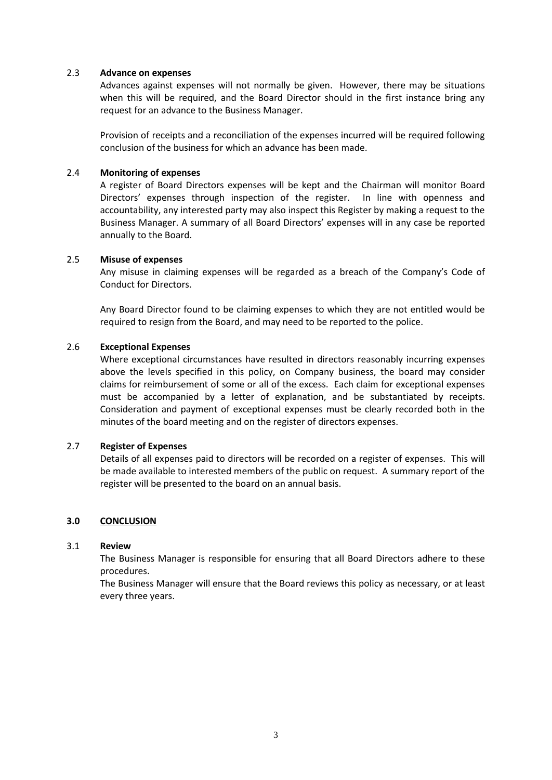#### 2.3 **Advance on expenses**

Advances against expenses will not normally be given. However, there may be situations when this will be required, and the Board Director should in the first instance bring any request for an advance to the Business Manager.

Provision of receipts and a reconciliation of the expenses incurred will be required following conclusion of the business for which an advance has been made.

#### 2.4 **Monitoring of expenses**

A register of Board Directors expenses will be kept and the Chairman will monitor Board Directors' expenses through inspection of the register. In line with openness and accountability, any interested party may also inspect this Register by making a request to the Business Manager. A summary of all Board Directors' expenses will in any case be reported annually to the Board.

#### 2.5 **Misuse of expenses**

Any misuse in claiming expenses will be regarded as a breach of the Company's Code of Conduct for Directors.

Any Board Director found to be claiming expenses to which they are not entitled would be required to resign from the Board, and may need to be reported to the police.

#### 2.6 **Exceptional Expenses**

Where exceptional circumstances have resulted in directors reasonably incurring expenses above the levels specified in this policy, on Company business, the board may consider claims for reimbursement of some or all of the excess. Each claim for exceptional expenses must be accompanied by a letter of explanation, and be substantiated by receipts. Consideration and payment of exceptional expenses must be clearly recorded both in the minutes of the board meeting and on the register of directors expenses.

#### 2.7 **Register of Expenses**

Details of all expenses paid to directors will be recorded on a register of expenses. This will be made available to interested members of the public on request. A summary report of the register will be presented to the board on an annual basis.

#### **3.0 CONCLUSION**

#### 3.1 **Review**

The Business Manager is responsible for ensuring that all Board Directors adhere to these procedures.

The Business Manager will ensure that the Board reviews this policy as necessary, or at least every three years.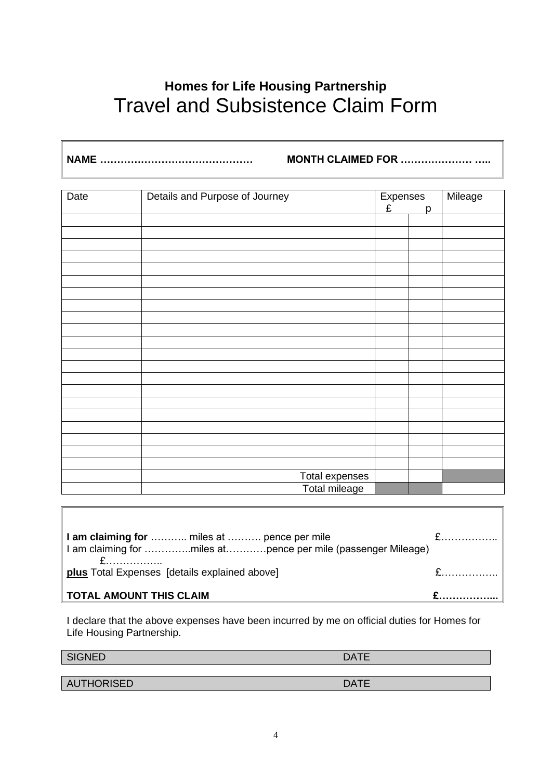# **Homes for Life Housing Partnership** Travel and Subsistence Claim Form

**NAME ……………………………………… MONTH CLAIMED FOR ………………… …..**

| Date<br>Details and Purpose of Journey |                                 | Expenses |   | Mileage |
|----------------------------------------|---------------------------------|----------|---|---------|
|                                        |                                 | £        | p |         |
|                                        |                                 |          |   |         |
|                                        |                                 |          |   |         |
|                                        |                                 |          |   |         |
|                                        |                                 |          |   |         |
|                                        |                                 |          |   |         |
|                                        |                                 |          |   |         |
|                                        |                                 |          |   |         |
|                                        |                                 |          |   |         |
|                                        |                                 |          |   |         |
|                                        |                                 |          |   |         |
|                                        |                                 |          |   |         |
|                                        |                                 |          |   |         |
|                                        |                                 |          |   |         |
|                                        |                                 |          |   |         |
|                                        |                                 |          |   |         |
|                                        |                                 |          |   |         |
|                                        |                                 |          |   |         |
|                                        |                                 |          |   |         |
|                                        |                                 |          |   |         |
|                                        |                                 |          |   |         |
|                                        |                                 |          |   |         |
|                                        |                                 |          |   |         |
|                                        | Total expenses<br>Total mileage |          |   |         |

| I am claiming for  miles at  pence per mile<br>I I am claiming for miles atpence per mile (passenger Mileage) |  |
|---------------------------------------------------------------------------------------------------------------|--|
| <b>plus</b> Total Expenses [details explained above]                                                          |  |
| $\parallel$ TOTAL AMOUNT THIS CLAIM                                                                           |  |

I declare that the above expenses have been incurred by me on official duties for Homes for Life Housing Partnership.

SIGNED DATE

AUTHORISED DATE